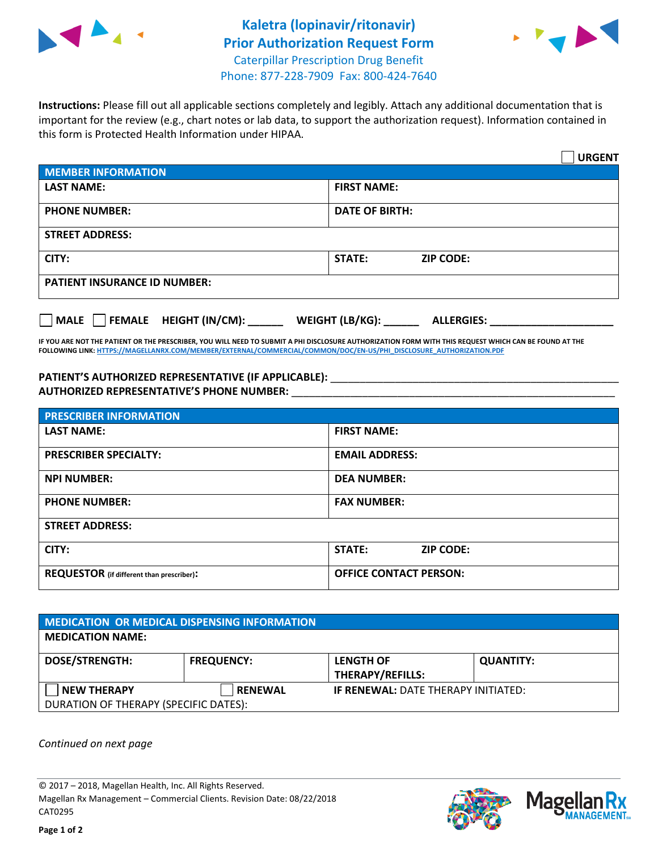



**Instructions:** Please fill out all applicable sections completely and legibly. Attach any additional documentation that is important for the review (e.g., chart notes or lab data, to support the authorization request). Information contained in this form is Protected Health Information under HIPAA.

|                                                | <b>URGENT</b>                        |  |  |  |
|------------------------------------------------|--------------------------------------|--|--|--|
| <b>MEMBER INFORMATION</b>                      |                                      |  |  |  |
| <b>LAST NAME:</b>                              | <b>FIRST NAME:</b>                   |  |  |  |
| <b>PHONE NUMBER:</b>                           | <b>DATE OF BIRTH:</b>                |  |  |  |
| <b>STREET ADDRESS:</b>                         |                                      |  |  |  |
| CITY:                                          | <b>STATE:</b><br><b>ZIP CODE:</b>    |  |  |  |
| <b>PATIENT INSURANCE ID NUMBER:</b>            |                                      |  |  |  |
| $\Box$ FEMALE HEIGHT (IN/CM): _<br><b>MALE</b> | WEIGHT (LB/KG):<br><b>ALLERGIES:</b> |  |  |  |

**IF YOU ARE NOT THE PATIENT OR THE PRESCRIBER, YOU WILL NEED TO SUBMIT A PHI DISCLOSURE AUTHORIZATION FORM WITH THIS REQUEST WHICH CAN BE FOUND AT THE FOLLOWING LINK[: HTTPS://MAGELLANRX.COM/MEMBER/EXTERNAL/COMMERCIAL/COMMON/DOC/EN-US/PHI\\_DISCLOSURE\\_AUTHORIZATION.PDF](https://magellanrx.com/member/external/commercial/common/doc/en-us/PHI_Disclosure_Authorization.pdf)**

PATIENT'S AUTHORIZED REPRESENTATIVE (IF APPLICABLE): \_\_\_\_\_\_\_\_\_\_\_\_\_\_\_\_\_\_\_\_\_\_\_\_\_\_\_ **AUTHORIZED REPRESENTATIVE'S PHONE NUMBER:** \_\_\_\_\_\_\_\_\_\_\_\_\_\_\_\_\_\_\_\_\_\_\_\_\_\_\_\_\_\_\_\_\_\_\_\_\_\_\_\_\_\_\_\_\_\_\_\_\_\_\_\_\_\_\_

| <b>PRESCRIBER INFORMATION</b>             |                               |  |  |  |
|-------------------------------------------|-------------------------------|--|--|--|
| <b>LAST NAME:</b>                         | <b>FIRST NAME:</b>            |  |  |  |
| <b>PRESCRIBER SPECIALTY:</b>              | <b>EMAIL ADDRESS:</b>         |  |  |  |
| <b>NPI NUMBER:</b>                        | <b>DEA NUMBER:</b>            |  |  |  |
| <b>PHONE NUMBER:</b>                      | <b>FAX NUMBER:</b>            |  |  |  |
| <b>STREET ADDRESS:</b>                    |                               |  |  |  |
| CITY:                                     | STATE:<br><b>ZIP CODE:</b>    |  |  |  |
| REQUESTOR (if different than prescriber): | <b>OFFICE CONTACT PERSON:</b> |  |  |  |

| <b>MEDICATION OR MEDICAL DISPENSING INFORMATION</b> |                   |                                            |                  |  |  |
|-----------------------------------------------------|-------------------|--------------------------------------------|------------------|--|--|
| <b>MEDICATION NAME:</b>                             |                   |                                            |                  |  |  |
| <b>DOSE/STRENGTH:</b>                               | <b>FREQUENCY:</b> | <b>LENGTH OF</b>                           | <b>QUANTITY:</b> |  |  |
|                                                     |                   | <b>THERAPY/REFILLS:</b>                    |                  |  |  |
| <b>NEW THERAPY</b>                                  | <b>RENEWAL</b>    | <b>IF RENEWAL: DATE THERAPY INITIATED:</b> |                  |  |  |
| DURATION OF THERAPY (SPECIFIC DATES):               |                   |                                            |                  |  |  |

*Continued on next page*

© 2017 – 2018, Magellan Health, Inc. All Rights Reserved. Magellan Rx Management – Commercial Clients. Revision Date: 08/22/2018 CAT0295